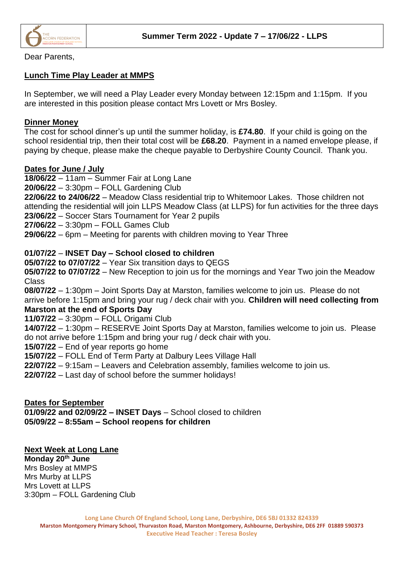

Dear Parents,

## **Lunch Time Play Leader at MMPS**

In September, we will need a Play Leader every Monday between 12:15pm and 1:15pm. If you are interested in this position please contact Mrs Lovett or Mrs Bosley.

#### **Dinner Money**

The cost for school dinner's up until the summer holiday, is **£74.80**. If your child is going on the school residential trip, then their total cost will be **£68.20**. Payment in a named envelope please, if paying by cheque, please make the cheque payable to Derbyshire County Council. Thank you.

### **Dates for June / July**

**18/06/22** – 11am – Summer Fair at Long Lane

**20/06/22** – 3:30pm – FOLL Gardening Club

**22/06/22 to 24/06/22** – Meadow Class residential trip to Whitemoor Lakes. Those children not attending the residential will join LLPS Meadow Class (at LLPS) for fun activities for the three days **23/06/22** – Soccer Stars Tournament for Year 2 pupils

**27/06/22** – 3:30pm – FOLL Games Club

**29/06/22** – 6pm – Meeting for parents with children moving to Year Three

# **01/07/22** – **INSET Day – School closed to children**

**05/07/22 to 07/07/22** – Year Six transition days to QEGS

**05/07/22 to 07/07/22** – New Reception to join us for the mornings and Year Two join the Meadow Class

**08/07/22** – 1:30pm – Joint Sports Day at Marston, families welcome to join us. Please do not arrive before 1:15pm and bring your rug / deck chair with you. **Children will need collecting from Marston at the end of Sports Day**

**11/07/22** – 3:30pm – FOLL Origami Club

**14/07/22** – 1:30pm – RESERVE Joint Sports Day at Marston, families welcome to join us. Please do not arrive before 1:15pm and bring your rug / deck chair with you.

**15/07/22** – End of year reports go home

**15/07/22** – FOLL End of Term Party at Dalbury Lees Village Hall

**22/07/22** – 9:15am – Leavers and Celebration assembly, families welcome to join us.

**22/07/22** – Last day of school before the summer holidays!

#### **Dates for September**

**01/09/22 and 02/09/22 – INSET Days** – School closed to children **05/09/22 – 8:55am – School reopens for children**

#### **Next Week at Long Lane**

**Monday 20th June** Mrs Bosley at MMPS Mrs Murby at LLPS Mrs Lovett at LLPS 3:30pm – FOLL Gardening Club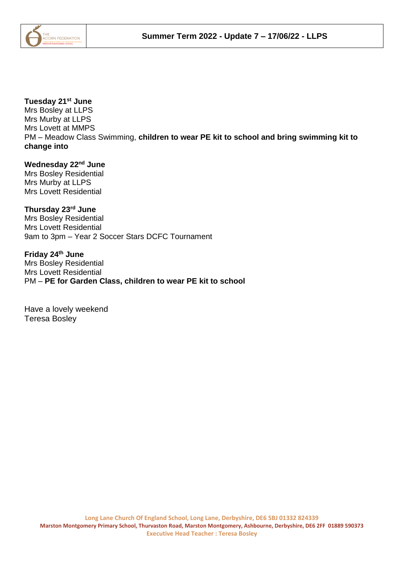

# **Tuesday 21st June**

Mrs Bosley at LLPS Mrs Murby at LLPS Mrs Lovett at MMPS PM – Meadow Class Swimming, **children to wear PE kit to school and bring swimming kit to change into**

**Wednesday 22nd June**

Mrs Bosley Residential Mrs Murby at LLPS Mrs Lovett Residential

**Thursday 23rd June** Mrs Bosley Residential Mrs Lovett Residential 9am to 3pm – Year 2 Soccer Stars DCFC Tournament

**Friday 24th June**  Mrs Bosley Residential Mrs Lovett Residential PM – **PE for Garden Class, children to wear PE kit to school**

Have a lovely weekend Teresa Bosley